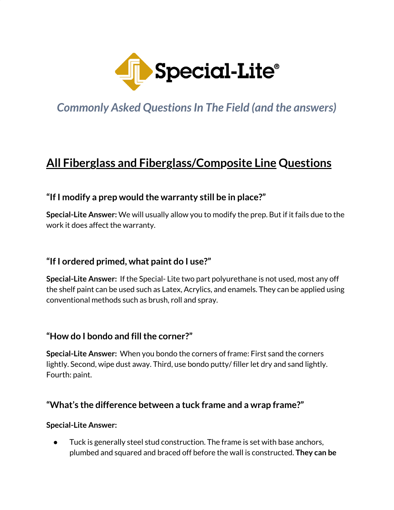

*Commonly Asked Questions In The Field (and the answers)* 

## **All Fiberglass and Fiberglass/Composite Line Questions**

## **"If I modify a prep would the warranty still be in place?"**

**Special-Lite Answer:** We will usually allow you to modify the prep. But if it fails due to the work it does affect the warranty.

## **"If I ordered primed, what paint do I use?"**

**Special-Lite Answer:** If the Special- Lite two part polyurethane is not used, most any off the shelf paint can be used such as Latex, Acrylics, and enamels. They can be applied using conventional methods such as brush, roll and spray.

## **"How do I bondo and fillthe corner?"**

**Special-Lite Answer:** When you bondo the corners of frame: First sand the corners lightly. Second, wipe dust away. Third, use bondo putty/ filler let dry and sand lightly. Fourth: paint.

## **"What's the difference between a tuck frame and a wrap frame?"**

#### **Special-Lite Answer:**

● Tuck is generally steel stud construction. The frame is set with base anchors, plumbed and squared and braced off before the wall is constructed. **They can be**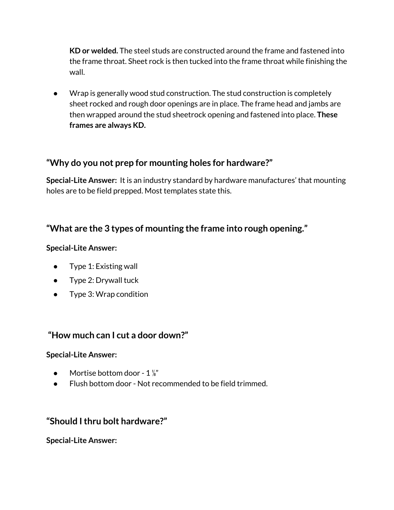**KD or welded.** The steel studs are constructed around the frame and fastened into the frame throat. Sheet rock is then tucked into the frame throat while finishing the wall.

● Wrap is generally wood stud construction. The stud construction is completely sheet rocked and rough door openings are in place. The frame head and jambs are then wrapped around the stud sheetrock opening and fastened into place. **These frames are always KD.**

## **"Why do you not prep for mounting holes for hardware?"**

**Special-Lite Answer:** It is an industry standard by hardware manufactures' that mounting holes are to be field prepped. Most templates state this.

## **"What are the 3 types of mounting the frame into rough opening."**

#### **Special-Lite Answer:**

- Type 1: Existing wall
- Type 2: Drywall tuck
- Type 3: Wrap condition

## **"How much can I cut a door down?"**

#### **Special-Lite Answer:**

- $\bullet$  Mortise bottom door 1  $\frac{1}{8}$ "
- Flush bottom door Not recommended to be field trimmed.

## **"Should Ithru bolt hardware?"**

**Special-Lite Answer:**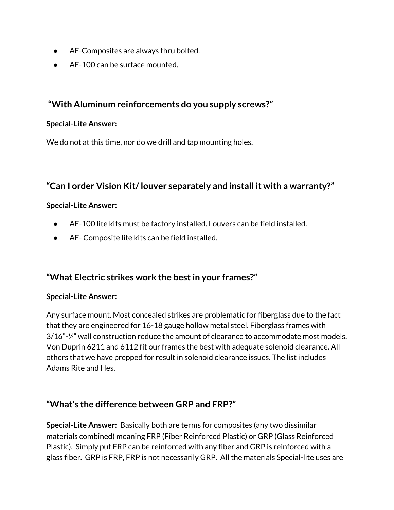- AF-Composites are always thru bolted.
- AF-100 can be surface mounted.

## **"With Aluminum reinforcements do you supply screws?"**

#### **Special-Lite Answer:**

We do not at this time, nor do we drill and tap mounting holes.

## **"Can I order Vision Kit/louver separately and install it with a warranty?"**

#### **Special-Lite Answer:**

- AF-100 lite kits must be factory installed. Louvers can be field installed.
- AF- Composite lite kits can be field installed.

## **"What Electric strikes work the bestin your frames?"**

#### **Special-Lite Answer:**

Any surface mount. Most concealed strikes are problematic for fiberglass due to the fact that they are engineered for 16-18 gauge hollow metal steel. Fiberglass frames with 3/16"-¼" wall construction reduce the amount of clearance to accommodate most models. Von Duprin 6211 and 6112 fit our frames the best with adequate solenoid clearance. All others that we have prepped for result in solenoid clearance issues. The list includes Adams Rite and Hes.

## **"What's the difference between GRP and FRP?"**

**Special-Lite Answer:** Basically both are terms for composites (any two dissimilar materials combined) meaning FRP (Fiber Reinforced Plastic) or GRP (Glass Reinforced Plastic). Simply put FRP can be reinforced with any fiber and GRP is reinforced with a glass fiber. GRP is FRP, FRP is not necessarily GRP. All the materials Special-lite uses are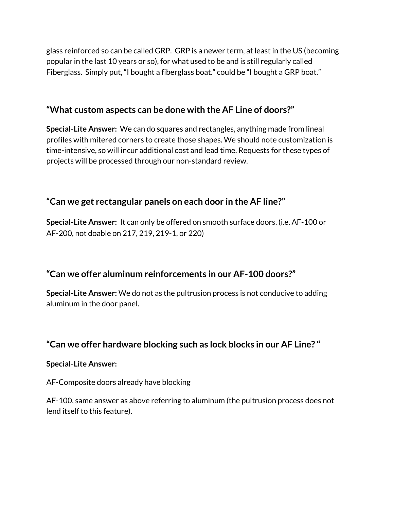glass reinforced so can be called GRP. GRP is a newer term, at least in the US (becoming popular in the last 10 years or so), for what used to be and is still regularly called Fiberglass. Simply put, "I bought a fiberglass boat." could be "I bought a GRP boat."

## **"What custom aspects can be done with the AF Line of doors?"**

**Special-Lite Answer:** We can do squares and rectangles, anything made from lineal profiles with mitered corners to create those shapes. We should note customization is time-intensive, so will incur additional cost and lead time. Requests for these types of projects will be processed through our non-standard review.

## **"Can we get rectangular panels on each door in the AF line?"**

**Special-Lite Answer:** It can only be offered on smooth surface doors. (i.e. AF-100 or AF-200, not doable on 217, 219, 219-1, or 220)

## **"Can we offer aluminum reinforcements in our AF-100 doors?"**

**Special-Lite Answer:** We do not as the pultrusion process is not conducive to adding aluminum in the door panel.

## **"Can we offer hardware blocking such as lock blocks in our AF Line? "**

#### **Special-Lite Answer:**

AF-Composite doors already have blocking

AF-100, same answer as above referring to aluminum (the pultrusion process does not lend itself to this feature).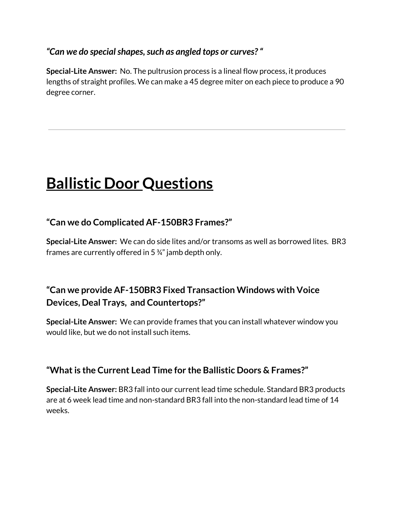## *"Can we do specialshapes,such as angled tops or curves?"*

**Special-Lite Answer:** No. The pultrusion process is a lineal flow process, it produces lengths of straight profiles. We can make a 45 degree miter on each piece to produce a 90 degree corner.

# **Ballistic Door Questions**

## **"Can we do Complicated AF-150BR3 Frames?"**

**Special-Lite Answer:** We can do side lites and/or transoms as well as borrowed lites. BR3 frames are currently offered in 5 ¾" jamb depth only.

## **"Can we provide AF-150BR3 Fixed Transaction Windows with Voice Devices, Deal Trays, and Countertops?"**

**Special-Lite Answer:** We can provide frames that you can install whatever window you would like, but we do not install such items.

## **"Whatis the Current Lead Time for the Ballistic Doors & Frames?"**

**Special-Lite Answer:** BR3 fall into our current lead time schedule. Standard BR3 products are at 6 week lead time and non-standard BR3 fall into the non-standard lead time of 14 weeks.